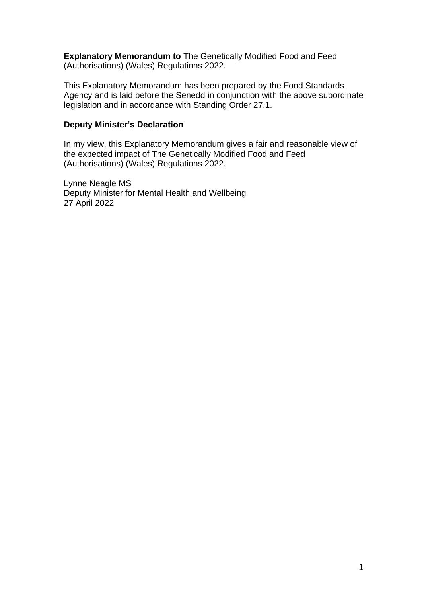**Explanatory Memorandum to** The Genetically Modified Food and Feed (Authorisations) (Wales) Regulations 2022.

This Explanatory Memorandum has been prepared by the Food Standards Agency and is laid before the Senedd in conjunction with the above subordinate legislation and in accordance with Standing Order 27.1.

## **Deputy Minister's Declaration**

In my view, this Explanatory Memorandum gives a fair and reasonable view of the expected impact of The Genetically Modified Food and Feed (Authorisations) (Wales) Regulations 2022.

Lynne Neagle MS Deputy Minister for Mental Health and Wellbeing 27 April 2022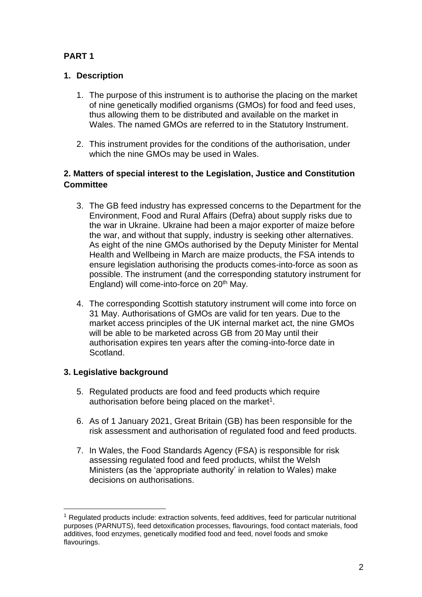# **PART 1**

## **1. Description**

- 1. The purpose of this instrument is to authorise the placing on the market of nine genetically modified organisms (GMOs) for food and feed uses, thus allowing them to be distributed and available on the market in Wales. The named GMOs are referred to in the Statutory Instrument.
- 2. This instrument provides for the conditions of the authorisation, under which the nine GMOs may be used in Wales.

## **2. Matters of special interest to the Legislation, Justice and Constitution Committee**

- 3. The GB feed industry has expressed concerns to the Department for the Environment, Food and Rural Affairs (Defra) about supply risks due to the war in Ukraine. Ukraine had been a major exporter of maize before the war, and without that supply, industry is seeking other alternatives. As eight of the nine GMOs authorised by the Deputy Minister for Mental Health and Wellbeing in March are maize products, the FSA intends to ensure legislation authorising the products comes-into-force as soon as possible. The instrument (and the corresponding statutory instrument for England) will come-into-force on 20<sup>th</sup> May.
- 4. The corresponding Scottish statutory instrument will come into force on 31 May. Authorisations of GMOs are valid for ten years. Due to the market access principles of the UK internal market act, the nine GMOs will be able to be marketed across GB from 20 May until their authorisation expires ten years after the coming-into-force date in Scotland.

## **3. Legislative background**

- 5. Regulated products are food and feed products which require authorisation before being placed on the market $1$ .
- 6. As of 1 January 2021, Great Britain (GB) has been responsible for the risk assessment and authorisation of regulated food and feed products.
- 7. In Wales, the Food Standards Agency (FSA) is responsible for risk assessing regulated food and feed products, whilst the Welsh Ministers (as the 'appropriate authority' in relation to Wales) make decisions on authorisations.

 $<sup>1</sup>$  Regulated products include: extraction solvents, feed additives, feed for particular nutritional</sup> purposes (PARNUTS), feed detoxification processes, flavourings, food contact materials, food additives, food enzymes, genetically modified food and feed, novel foods and smoke flavourings.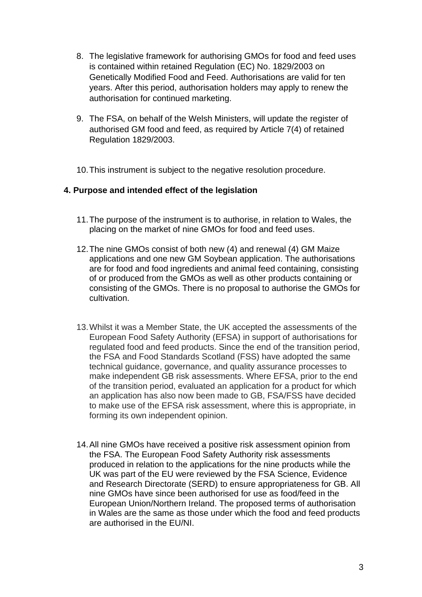- 8. The legislative framework for authorising GMOs for food and feed uses is contained within retained Regulation (EC) No. 1829/2003 on Genetically Modified Food and Feed. Authorisations are valid for ten years. After this period, authorisation holders may apply to renew the authorisation for continued marketing.
- 9. The FSA, on behalf of the Welsh Ministers, will update the register of authorised GM food and feed, as required by Article 7(4) of retained Regulation 1829/2003.
- 10.This instrument is subject to the negative resolution procedure.

### **4. Purpose and intended effect of the legislation**

- 11.The purpose of the instrument is to authorise, in relation to Wales, the placing on the market of nine GMOs for food and feed uses.
- 12.The nine GMOs consist of both new (4) and renewal (4) GM Maize applications and one new GM Soybean application. The authorisations are for food and food ingredients and animal feed containing, consisting of or produced from the GMOs as well as other products containing or consisting of the GMOs. There is no proposal to authorise the GMOs for cultivation.
- 13.Whilst it was a Member State, the UK accepted the assessments of the European Food Safety Authority (EFSA) in support of authorisations for regulated food and feed products. Since the end of the transition period, the FSA and Food Standards Scotland (FSS) have adopted the same technical guidance, governance, and quality assurance processes to make independent GB risk assessments. Where EFSA, prior to the end of the transition period, evaluated an application for a product for which an application has also now been made to GB, FSA/FSS have decided to make use of the EFSA risk assessment, where this is appropriate, in forming its own independent opinion.
- 14.All nine GMOs have received a positive risk assessment opinion from the FSA. The European Food Safety Authority risk assessments produced in relation to the applications for the nine products while the UK was part of the EU were reviewed by the FSA Science, Evidence and Research Directorate (SERD) to ensure appropriateness for GB. All nine GMOs have since been authorised for use as food/feed in the European Union/Northern Ireland. The proposed terms of authorisation in Wales are the same as those under which the food and feed products are authorised in the EU/NI.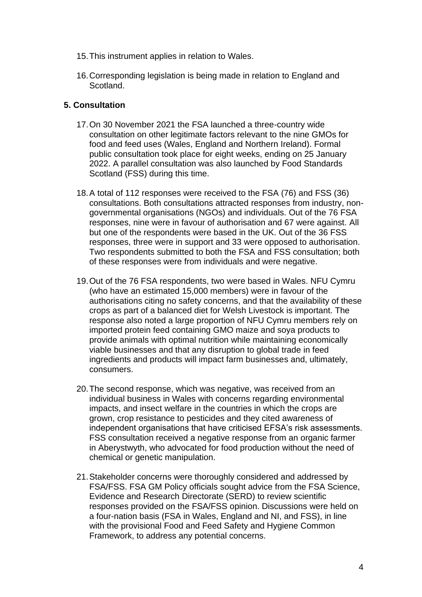- 15.This instrument applies in relation to Wales.
- 16.Corresponding legislation is being made in relation to England and Scotland.

### **5. Consultation**

- 17.On 30 November 2021 the FSA launched a three-country wide consultation on other legitimate factors relevant to the nine GMOs for food and feed uses (Wales, England and Northern Ireland). Formal public consultation took place for eight weeks, ending on 25 January 2022. A parallel consultation was also launched by Food Standards Scotland (FSS) during this time.
- 18.A total of 112 responses were received to the FSA (76) and FSS (36) consultations. Both consultations attracted responses from industry, nongovernmental organisations (NGOs) and individuals. Out of the 76 FSA responses, nine were in favour of authorisation and 67 were against. All but one of the respondents were based in the UK. Out of the 36 FSS responses, three were in support and 33 were opposed to authorisation. Two respondents submitted to both the FSA and FSS consultation; both of these responses were from individuals and were negative.
- 19.Out of the 76 FSA respondents, two were based in Wales. NFU Cymru (who have an estimated 15,000 members) were in favour of the authorisations citing no safety concerns, and that the availability of these crops as part of a balanced diet for Welsh Livestock is important. The response also noted a large proportion of NFU Cymru members rely on imported protein feed containing GMO maize and soya products to provide animals with optimal nutrition while maintaining economically viable businesses and that any disruption to global trade in feed ingredients and products will impact farm businesses and, ultimately, consumers.
- 20.The second response, which was negative, was received from an individual business in Wales with concerns regarding environmental impacts, and insect welfare in the countries in which the crops are grown, crop resistance to pesticides and they cited awareness of independent organisations that have criticised EFSA's risk assessments. FSS consultation received a negative response from an organic farmer in Aberystwyth, who advocated for food production without the need of chemical or genetic manipulation.
- 21.Stakeholder concerns were thoroughly considered and addressed by FSA/FSS. FSA GM Policy officials sought advice from the FSA Science, Evidence and Research Directorate (SERD) to review scientific responses provided on the FSA/FSS opinion. Discussions were held on a four-nation basis (FSA in Wales, England and NI, and FSS), in line with the provisional Food and Feed Safety and Hygiene Common Framework, to address any potential concerns.